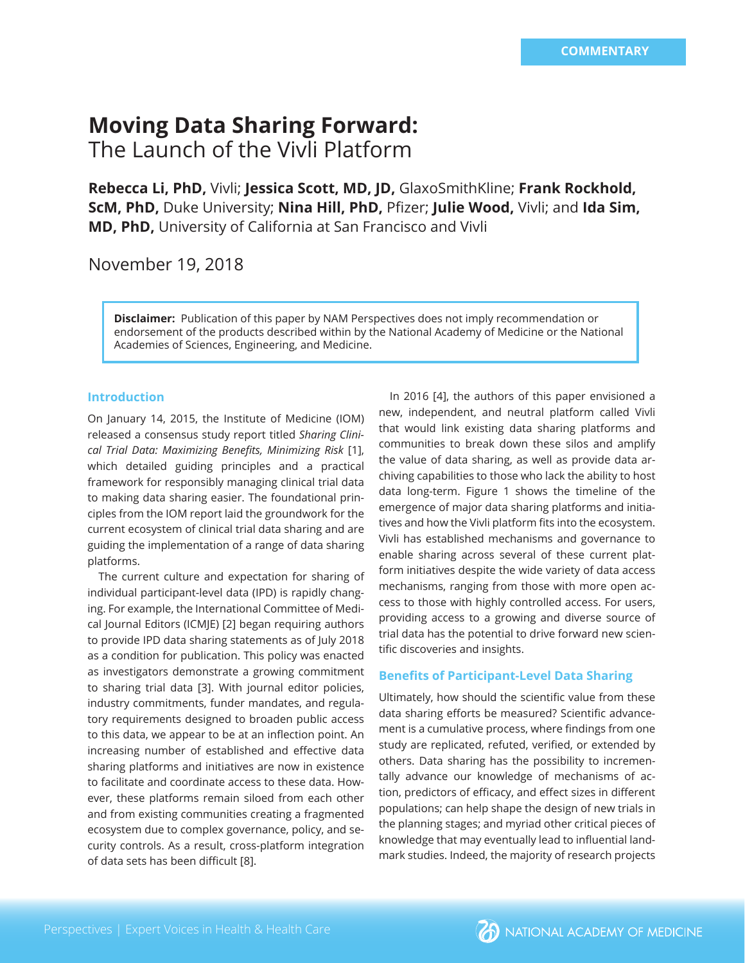# **Moving Data Sharing Forward:**  The Launch of the Vivli Platform

**Rebecca Li, PhD,** Vivli; **Jessica Scott, MD, JD,** GlaxoSmithKline; **Frank Rockhold, ScM, PhD, Duke University; Nina Hill, PhD, Pfizer; Julie Wood, Vivli; and Ida Sim, MD, PhD,** University of California at San Francisco and Vivli

November 19, 2018

**Disclaimer:** Publication of this paper by NAM Perspectives does not imply recommendation or endorsement of the products described within by the National Academy of Medicine or the National Academies of Sciences, Engineering, and Medicine.

### **Introduction**

On January 14, 2015, the Institute of Medicine (IOM) released a consensus study report titled *Sharing Clini*cal Trial Data: Maximizing Benefits, Minimizing Risk [1], which detailed guiding principles and a practical framework for responsibly managing clinical trial data to making data sharing easier. The foundational principles from the IOM report laid the groundwork for the current ecosystem of clinical trial data sharing and are guiding the implementation of a range of data sharing platforms.

The current culture and expectation for sharing of individual participant-level data (IPD) is rapidly changing. For example, the International Committee of Medical Journal Editors (ICMJE) [2] began requiring authors to provide IPD data sharing statements as of July 2018 as a condition for publication. This policy was enacted as investigators demonstrate a growing commitment to sharing trial data [3]. With journal editor policies, industry commitments, funder mandates, and regulatory requirements designed to broaden public access to this data, we appear to be at an inflection point. An increasing number of established and effective data sharing platforms and initiatives are now in existence to facilitate and coordinate access to these data. However, these platforms remain siloed from each other and from existing communities creating a fragmented ecosystem due to complex governance, policy, and security controls. As a result, cross-platform integration of data sets has been difficult [8].

In 2016 [4], the authors of this paper envisioned a new, independent, and neutral platform called Vivli that would link existing data sharing platforms and communities to break down these silos and amplify the value of data sharing, as well as provide data archiving capabilities to those who lack the ability to host data long-term. Figure 1 shows the timeline of the emergence of major data sharing platforms and initiatives and how the Vivli platform fits into the ecosystem. Vivli has established mechanisms and governance to enable sharing across several of these current platform initiatives despite the wide variety of data access mechanisms, ranging from those with more open access to those with highly controlled access. For users, providing access to a growing and diverse source of trial data has the potential to drive forward new scientific discoveries and insights.

#### **Benefits of Participant-Level Data Sharing**

Ultimately, how should the scientific value from these data sharing efforts be measured? Scientific advancement is a cumulative process, where findings from one study are replicated, refuted, verified, or extended by others. Data sharing has the possibility to incrementally advance our knowledge of mechanisms of action, predictors of efficacy, and effect sizes in different populations; can help shape the design of new trials in the planning stages; and myriad other critical pieces of knowledge that may eventually lead to influential landmark studies. Indeed, the majority of research projects

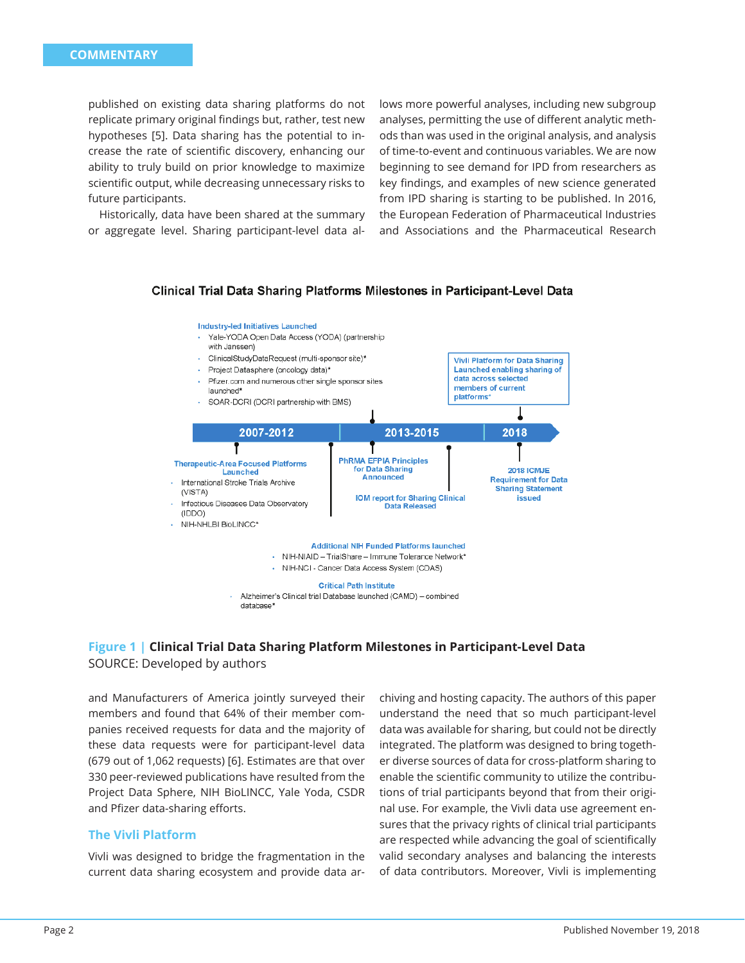published on existing data sharing platforms do not replicate primary original findings but, rather, test new hypotheses [5]. Data sharing has the potential to increase the rate of scientific discovery, enhancing our ability to truly build on prior knowledge to maximize scientific output, while decreasing unnecessary risks to future participants.

Historically, data have been shared at the summary or aggregate level. Sharing participant-level data allows more powerful analyses, including new subgroup analyses, permitting the use of different analytic methods than was used in the original analysis, and analysis of time-to-event and continuous variables. We are now beginning to see demand for IPD from researchers as key findings, and examples of new science generated from IPD sharing is starting to be published. In 2016, the European Federation of Pharmaceutical Industries and Associations and the Pharmaceutical Research



### Clinical Trial Data Sharing Platforms Milestones in Participant-Level Data

### **Figure 1 | Clinical Trial Data Sharing Platform Milestones in Participant-Level Data** SOURCE: Developed by authors

and Manufacturers of America jointly surveyed their members and found that 64% of their member companies received requests for data and the majority of these data requests were for participant-level data (679 out of 1,062 requests) [6]. Estimates are that over 330 peer-reviewed publications have resulted from the Project Data Sphere, NIH BioLINCC, Yale Yoda, CSDR and Pfizer data-sharing efforts.

# **The Vivli Platform**

Vivli was designed to bridge the fragmentation in the current data sharing ecosystem and provide data ar-

chiving and hosting capacity. The authors of this paper understand the need that so much participant-level data was available for sharing, but could not be directly integrated. The platform was designed to bring together diverse sources of data for cross-platform sharing to enable the scientific community to utilize the contributions of trial participants beyond that from their original use. For example, the Vivli data use agreement ensures that the privacy rights of clinical trial participants are respected while advancing the goal of scientifically valid secondary analyses and balancing the interests of data contributors. Moreover, Vivli is implementing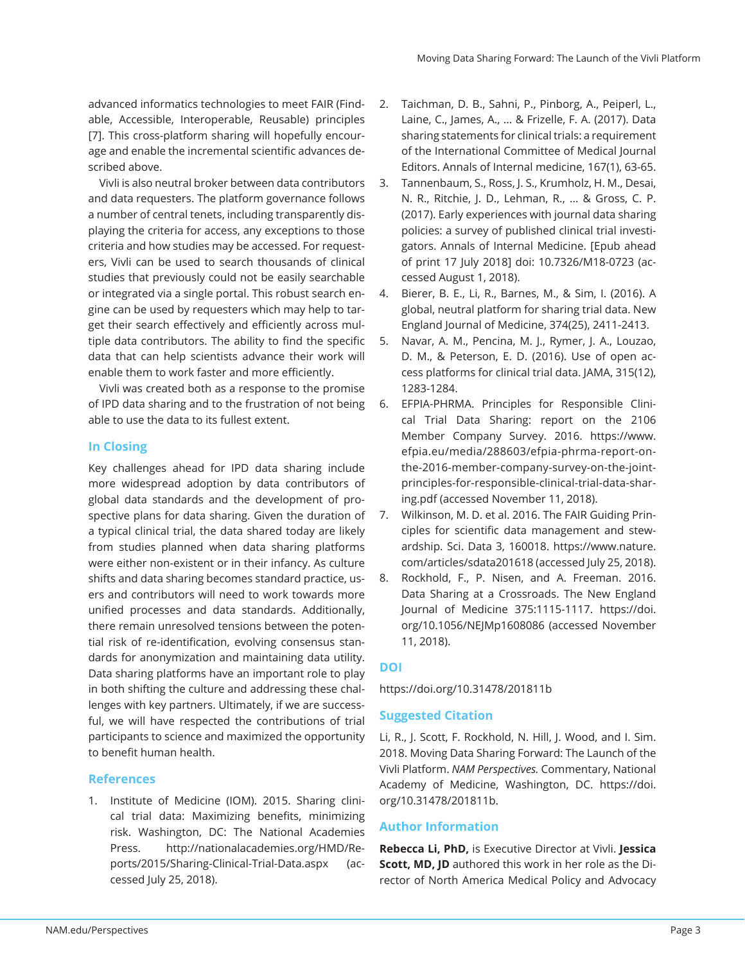advanced informatics technologies to meet FAIR (Findable, Accessible, Interoperable, Reusable) principles [7]. This cross-platform sharing will hopefully encourage and enable the incremental scientific advances described above.

Vivli is also neutral broker between data contributors and data requesters. The platform governance follows a number of central tenets, including transparently displaying the criteria for access, any exceptions to those criteria and how studies may be accessed. For requesters, Vivli can be used to search thousands of clinical studies that previously could not be easily searchable or integrated via a single portal. This robust search engine can be used by requesters which may help to target their search effectively and efficiently across multiple data contributors. The ability to find the specific data that can help scientists advance their work will enable them to work faster and more efficiently.

Vivli was created both as a response to the promise of IPD data sharing and to the frustration of not being able to use the data to its fullest extent.

### **In Closing**

Key challenges ahead for IPD data sharing include more widespread adoption by data contributors of global data standards and the development of prospective plans for data sharing. Given the duration of a typical clinical trial, the data shared today are likely from studies planned when data sharing platforms were either non-existent or in their infancy. As culture shifts and data sharing becomes standard practice, users and contributors will need to work towards more unified processes and data standards. Additionally, there remain unresolved tensions between the potential risk of re-identification, evolving consensus standards for anonymization and maintaining data utility. Data sharing platforms have an important role to play in both shifting the culture and addressing these challenges with key partners. Ultimately, if we are successful, we will have respected the contributions of trial participants to science and maximized the opportunity to benefit human health.

### **References**

1. Institute of Medicine (IOM). 2015. Sharing clinical trial data: Maximizing benefits, minimizing risk. Washington, DC: The National Academies Press. http://nationalacademies.org/HMD/Reports/2015/Sharing-Clinical-Trial-Data.aspx (accessed July 25, 2018).

- 2. Taichman, D. B., Sahni, P., Pinborg, A., Peiperl, L., Laine, C., James, A., ... & Frizelle, F. A. (2017). Data sharing statements for clinical trials: a requirement of the International Committee of Medical Journal Editors. Annals of Internal medicine, 167(1), 63-65.
- 3. Tannenbaum, S., Ross, J. S., Krumholz, H. M., Desai, N. R., Ritchie, J. D., Lehman, R., ... & Gross, C. P. (2017). Early experiences with journal data sharing policies: a survey of published clinical trial investigators. Annals of Internal Medicine. [Epub ahead of print 17 July 2018] doi: 10.7326/M18-0723 (accessed August 1, 2018).
- 4. Bierer, B. E., Li, R., Barnes, M., & Sim, I. (2016). A global, neutral platform for sharing trial data. New England Journal of Medicine, 374(25), 2411-2413.
- 5. Navar, A. M., Pencina, M. J., Rymer, J. A., Louzao, D. M., & Peterson, E. D. (2016). Use of open access platforms for clinical trial data. JAMA, 315(12), 1283-1284.
- 6. EFPIA-PHRMA. Principles for Responsible Clinical Trial Data Sharing: report on the 2106 Member Company Survey. 2016. https://www. efpia.eu/media/288603/efpia-phrma-report-onthe-2016-member-company-survey-on-the-jointprinciples-for-responsible-clinical-trial-data-sharing.pdf (accessed November 11, 2018).
- 7. Wilkinson, M. D. et al. 2016. The FAIR Guiding Principles for scientific data management and stewardship. Sci. Data 3, 160018. https://www.nature. com/articles/sdata201618 (accessed July 25, 2018).
- 8. Rockhold, F., P. Nisen, and A. Freeman. 2016. Data Sharing at a Crossroads. The New England Journal of Medicine 375:1115-1117. https://doi. org/10.1056/NEJMp1608086 (accessed November 11, 2018).

# **DOI**

https://doi.org/10.31478/201811b

# **Suggested Citation**

Li, R., J. Scott, F. Rockhold, N. Hill, J. Wood, and I. Sim. 2018. Moving Data Sharing Forward: The Launch of the Vivli Platform. *NAM Perspectives.* Commentary, National Academy of Medicine, Washington, DC. https://doi. org/10.31478/201811b.

### **Author Information**

**Rebecca Li, PhD,** is Executive Director at Vivli. **Jessica Scott, MD, JD** authored this work in her role as the Director of North America Medical Policy and Advocacy